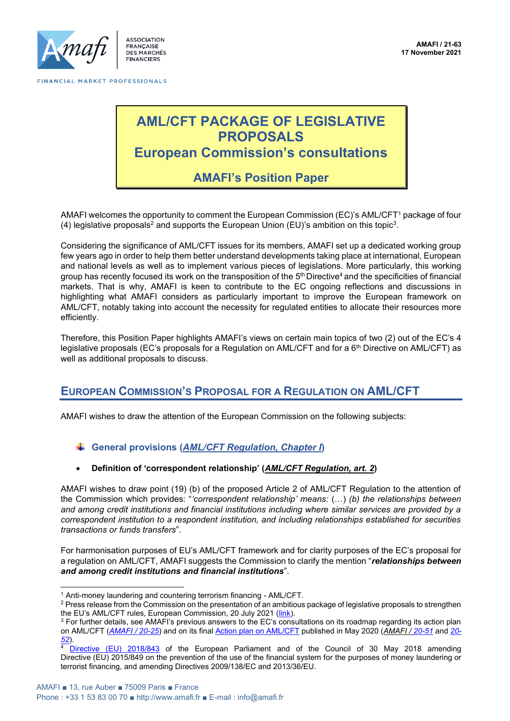

**ASSOCIATION FRANCAISE DES MARCHÉS FINANCIERS** 

# **AML/CFT PACKAGE OF LEGISLATIVE PROPOSALS European Commission's consultations**

**AMAFI's Position Paper**

AMAFI welcomes the opportunity to comment the European Commission (EC)'s AML/CFT<sup>1</sup> package of four (4) legislative proposals<sup>2</sup> and supports the European Union (EU)'s ambition on this topic $3$ .

Considering the significance of AML/CFT issues for its members, AMAFI set up a dedicated working group few years ago in order to help them better understand developments taking place at international, European and national levels as well as to implement various pieces of legislations. More particularly, this working group has recently focused its work on the transposition of the 5<sup>th</sup> Directive<sup>4</sup> and the specificities of financial markets. That is why, AMAFI is keen to contribute to the EC ongoing reflections and discussions in highlighting what AMAFI considers as particularly important to improve the European framework on AML/CFT, notably taking into account the necessity for regulated entities to allocate their resources more efficiently.

Therefore, this Position Paper highlights AMAFI's views on certain main topics of two (2) out of the EC's 4 legislative proposals (EC's proposals for a Regulation on AML/CFT and for a 6<sup>th</sup> Directive on AML/CFT) as well as additional proposals to discuss.

# **EUROPEAN COMMISSION'S PROPOSAL FOR A REGULATION ON AML/CFT**

AMAFI wishes to draw the attention of the European Commission on the following subjects:

### **General provisions (***AML/CFT Regulation, Chapter I***)**

• **Definition of 'correspondent relationship' (***AML/CFT Regulation, art. 2***)**

AMAFI wishes to draw point (19) (b) of the proposed Article 2 of AML/CFT Regulation to the attention of the Commission which provides: "*'correspondent relationship' means:* (…) *(b) the relationships between and among credit institutions and financial institutions including where similar services are provided by a correspondent institution to a respondent institution, and including relationships established for securities transactions or funds transfers*".

For harmonisation purposes of EU's AML/CFT framework and for clarity purposes of the EC's proposal for a regulation on AML/CFT, AMAFI suggests the Commission to clarify the mention "*relationships between and among credit institutions and financial institutions*".

<sup>&</sup>lt;sup>1</sup> Anti-money laundering and countering terrorism financing - AML/CFT.

<sup>&</sup>lt;sup>2</sup> Press release from the Commission on the presentation of an ambitious package of legislative proposals to strengthen the EU's AML/CFT rules, European Commission, 20 July 2021 ([link\)](https://ec.europa.eu/commission/presscorner/detail/en/ip_21_3690).

<sup>&</sup>lt;sup>3</sup> For further details, see AMAFI's previous answers to the EC's consultations on its roadmap regarding its action plan on AML/CFT (*[AMAFI / 20-25](http://amafi.fr/download/pages/DSE9t209flAM7pbDFNMdaqyrQsYGCsZgMNw8NL5v.pdf)*) and on its fina[l Action plan on AML/CFT](https://ec.europa.eu/info/publications/200507-anti-money-laundering-terrorism-financing-action-plan_en) published in May 2020 (*AMAFI [/ 20-51](http://amafi.fr/download/pages/AVzO6VC1JCpwfmA3YIorqzgORBfxUEV1ceyaeoBc.pdf)* and *[20-](http://amafi.fr/download/pages/qFCW3nmDpbmu5K5ro43clfSJeorMbtQJ6eVc7VYl.pdf) [52](http://amafi.fr/download/pages/qFCW3nmDpbmu5K5ro43clfSJeorMbtQJ6eVc7VYl.pdf)*).

[Directive \(EU\) 2018/843](https://eur-lex.europa.eu/legal-content/EN/TXT/?uri=CELEX:32018L0843) of the European Parliament and of the Council of 30 May 2018 amending Directive (EU) 2015/849 on the prevention of the use of the financial system for the purposes of money laundering or terrorist financing, and amending Directives 2009/138/EC and 2013/36/EU.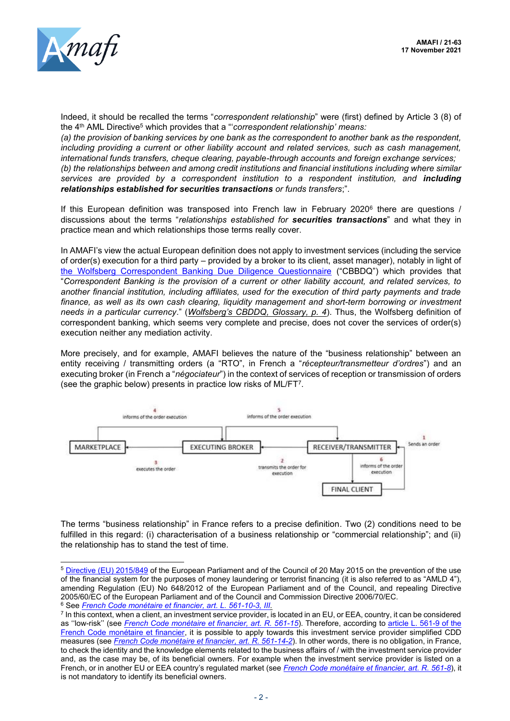

Indeed, it should be recalled the terms "*correspondent relationship*" were (first) defined by Article 3 (8) of the 4 th AML Directive<sup>5</sup> which provides that a "'*correspondent relationship' means:*

*(a) the provision of banking services by one bank as the correspondent to another bank as the respondent, including providing a current or other liability account and related services, such as cash management, international funds transfers, cheque clearing, payable-through accounts and foreign exchange services; (b) the relationships between and among credit institutions and financial institutions including where similar services are provided by a correspondent institution to a respondent institution, and including relationships established for securities transactions or funds transfers*;".

If this European definition was transposed into French law in February 2020<sup>6</sup> there are questions / discussions about the terms "*relationships established for securities transactions*" and what they in practice mean and which relationships those terms really cover.

In AMAFI's view the actual European definition does not apply to investment services (including the service of order(s) execution for a third party – provided by a broker to its client, asset manager), notably in light of [the Wolfsberg Correspondent Banking Due Diligence Questionnaire](https://www.wolfsberg-principles.com/wolfsbergcb) ("CBBDQ") which provides that "*Correspondent Banking is the provision of a current or other liability account, and related services, to another financial institution, including affiliates, used for the execution of third party payments and trade*  finance, as well as its own cash clearing, liquidity management and short-term borrowing or investment *needs in a particular currency*." (*Wolfsberg's CBDDQ, Glossary, p. 4*). Thus, the Wolfsberg definition of correspondent banking, which seems very complete and precise, does not cover the services of order(s) execution neither any mediation activity.

More precisely, and for example, AMAFI believes the nature of the "business relationship" between an entity receiving / transmitting orders (a "RTO", in French a "*récepteur/transmetteur d'ordres*") and an executing broker (in French a "*négociateur*") in the context of services of reception or transmission of orders (see the graphic below) presents in practice low risks of ML/FT<sup>7</sup> .



The terms "business relationship" in France refers to a precise definition. Two (2) conditions need to be fulfilled in this regard: (i) characterisation of a business relationship or "commercial relationship"; and (ii) the relationship has to stand the test of time.

<sup>5</sup> [Directive \(EU\) 2015/849](https://eur-lex.europa.eu/legal-content/FR/TXT/?uri=CELEX%3A32015L0849) of the European Parliament and of the Council of 20 May 2015 on the prevention of the use of the financial system for the purposes of money laundering or terrorist financing (it is also referred to as "AMLD 4"), amending Regulation (EU) No 648/2012 of the European Parliament and of the Council, and repealing Directive 2005/60/EC of the European Parliament and of the Council and Commission Directive 2006/70/EC. <sup>6</sup> See *[French Code monétaire et financier, art. L. 561-10-3, III.](https://www.legifrance.gouv.fr/codes/article_lc/LEGIARTI000041577802)*

<sup>7</sup> In this context, when a client, an investment service provider, is located in an EU, or EEA, country, it can be considered as ''low-risk'' (see *[French Code monétaire et financier, art. R. 561-15](https://www.legifrance.gouv.fr/codes/article_lc/LEGIARTI000041592300/)*). Therefore, according to [article L. 561-9 of the](https://www.legifrance.gouv.fr/codes/article_lc/LEGIARTI000041577821/)  [French Code monétaire et financier,](https://www.legifrance.gouv.fr/codes/article_lc/LEGIARTI000041577821/) it is possible to apply towards this investment service provider simplified CDD measures (see *[French Code monétaire et financier, art. R. 561-14-2](https://www.legifrance.gouv.fr/codes/article_lc/LEGIARTI000036822473)*). In other words, there is no obligation, in France, to check the identity and the knowledge elements related to the business affairs of / with the investment service provider and, as the case may be, of its beneficial owners. For example when the investment service provider is listed on a French, or in another EU or EEA country's regulated market (see *[French Code monétaire et financier, art. R. 561-8](https://www.legifrance.gouv.fr/codes/article_lc/LEGIARTI000041592247)*), it is not mandatory to identify its beneficial owners.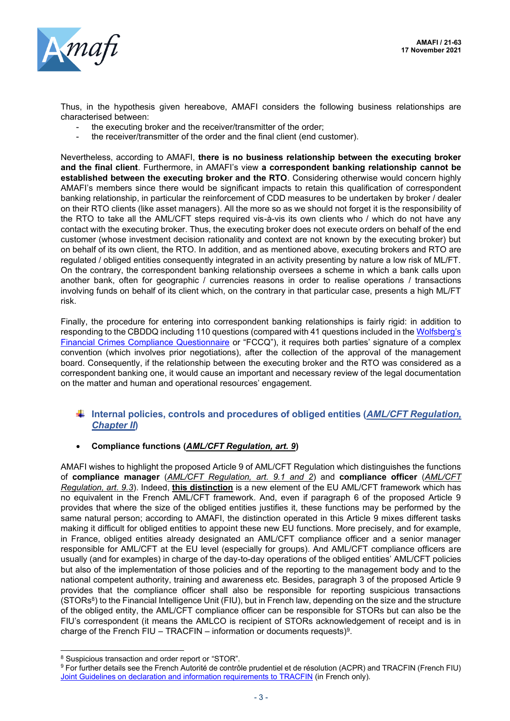

Thus, in the hypothesis given hereabove, AMAFI considers the following business relationships are characterised between:

- the executing broker and the receiver/transmitter of the order;
- the receiver/transmitter of the order and the final client (end customer).

Nevertheless, according to AMAFI, **there is no business relationship between the executing broker and the final client**. Furthermore, in AMAFI's view **a correspondent banking relationship cannot be established between the executing broker and the RTO**. Considering otherwise would concern highly AMAFI's members since there would be significant impacts to retain this qualification of correspondent banking relationship, in particular the reinforcement of CDD measures to be undertaken by broker / dealer on their RTO clients (like asset managers). All the more so as we should not forget it is the responsibility of the RTO to take all the AML/CFT steps required vis-à-vis its own clients who / which do not have any contact with the executing broker. Thus, the executing broker does not execute orders on behalf of the end customer (whose investment decision rationality and context are not known by the executing broker) but on behalf of its own client, the RTO. In addition, and as mentioned above, executing brokers and RTO are regulated / obliged entities consequently integrated in an activity presenting by nature a low risk of ML/FT. On the contrary, the correspondent banking relationship oversees a scheme in which a bank calls upon another bank, often for geographic / currencies reasons in order to realise operations / transactions involving funds on behalf of its client which, on the contrary in that particular case, presents a high ML/FT risk.

Finally, the procedure for entering into correspondent banking relationships is fairly rigid: in addition to responding to the CBDDQ including 110 questions (compared with 41 questions included in the Wolfsberg's [Financial Crimes Compliance Questionnaire](https://www.wolfsberg-principles.com/sites/default/files/wb/FCCQ_V1.1_SC04_.pdf) or "FCCQ"), it requires both parties' signature of a complex convention (which involves prior negotiations), after the collection of the approval of the management board. Consequently, if the relationship between the executing broker and the RTO was considered as a correspondent banking one, it would cause an important and necessary review of the legal documentation on the matter and human and operational resources' engagement.

## **Internal policies, controls and procedures of obliged entities (***AML/CFT Regulation, Chapter II***)**

### • **Compliance functions (***AML/CFT Regulation, art. 9***)**

AMAFI wishes to highlight the proposed Article 9 of AML/CFT Regulation which distinguishes the functions of **compliance manager** (*AML/CFT Regulation, art. 9.1 and 2*) and **compliance officer** (*AML/CFT Regulation, art. 9.3*). Indeed, **this distinction** is a new element of the EU AML/CFT framework which has no equivalent in the French AML/CFT framework. And, even if paragraph 6 of the proposed Article 9 provides that where the size of the obliged entities justifies it, these functions may be performed by the same natural person; according to AMAFI, the distinction operated in this Article 9 mixes different tasks making it difficult for obliged entities to appoint these new EU functions. More precisely, and for example, in France, obliged entities already designated an AML/CFT compliance officer and a senior manager responsible for AML/CFT at the EU level (especially for groups). And AML/CFT compliance officers are usually (and for examples) in charge of the day-to-day operations of the obliged entities' AML/CFT policies but also of the implementation of those policies and of the reporting to the management body and to the national competent authority, training and awareness etc. Besides, paragraph 3 of the proposed Article 9 provides that the compliance officer shall also be responsible for reporting suspicious transactions (STORs $^8$ ) to the Financial Intelligence Unit (FIU), but in French law, depending on the size and the structure of the obliged entity, the AML/CFT compliance officer can be responsible for STORs but can also be the FIU's correspondent (it means the AMLCO is recipient of STORs acknowledgement of receipt and is in charge of the French FIU – TRACFIN – information or documents requests)<sup>9</sup>.

<sup>8</sup> Suspicious transaction and order report or "STOR".

<sup>&</sup>lt;sup>9</sup> For further details see the French Autorité de contrôle prudentiel et de résolution (ACPR) and TRACFIN (French FIU) [Joint Guidelines on declaration and information requirements to TRACFIN](https://www.economie.gouv.fr/files/201810_ldds_tracfin_1.pdf) (in French only).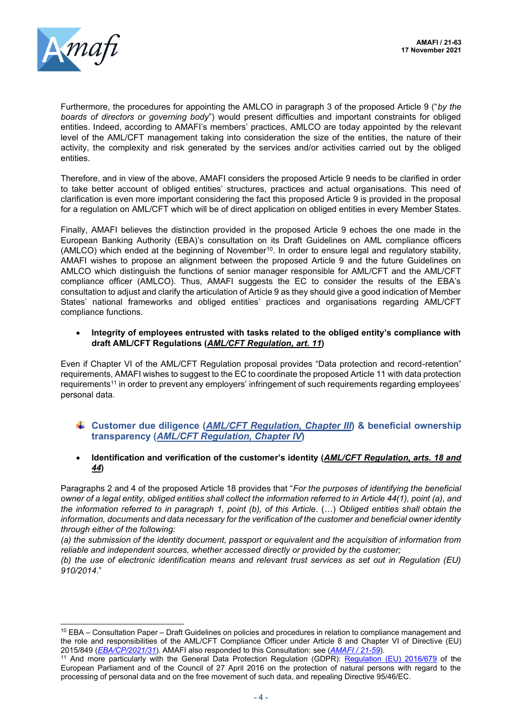

Furthermore, the procedures for appointing the AMLCO in paragraph 3 of the proposed Article 9 ("*by the boards of directors or governing body*") would present difficulties and important constraints for obliged entities. Indeed, according to AMAFI's members' practices, AMLCO are today appointed by the relevant level of the AML/CFT management taking into consideration the size of the entities, the nature of their activity, the complexity and risk generated by the services and/or activities carried out by the obliged entities.

Therefore, and in view of the above, AMAFI considers the proposed Article 9 needs to be clarified in order to take better account of obliged entities' structures, practices and actual organisations. This need of clarification is even more important considering the fact this proposed Article 9 is provided in the proposal for a regulation on AML/CFT which will be of direct application on obliged entities in every Member States.

Finally, AMAFI believes the distinction provided in the proposed Article 9 echoes the one made in the European Banking Authority (EBA)'s consultation on its Draft Guidelines on AML compliance officers (AMLCO) which ended at the beginning of November<sup>10</sup>. In order to ensure legal and regulatory stability, AMAFI wishes to propose an alignment between the proposed Article 9 and the future Guidelines on AMLCO which distinguish the functions of senior manager responsible for AML/CFT and the AML/CFT compliance officer (AMLCO). Thus, AMAFI suggests the EC to consider the results of the EBA's consultation to adjust and clarify the articulation of Article 9 as they should give a good indication of Member States' national frameworks and obliged entities' practices and organisations regarding AML/CFT compliance functions.

• **Integrity of employees entrusted with tasks related to the obliged entity's compliance with draft AML/CFT Regulations (***AML/CFT Regulation, art. 11***)**

Even if Chapter VI of the AML/CFT Regulation proposal provides "Data protection and record-retention" requirements, AMAFI wishes to suggest to the EC to coordinate the proposed Article 11 with data protection requirements<sup>11</sup> in order to prevent any employers' infringement of such requirements regarding employees' personal data.

- **Customer due diligence (***AML/CFT Regulation, Chapter III***) & beneficial ownership transparency (***AML/CFT Regulation, Chapter IV***)**
- **Identification and verification of the customer's identity (***AML/CFT Regulation, arts. 18 and 44***)**

Paragraphs 2 and 4 of the proposed Article 18 provides that "*For the purposes of identifying the beneficial owner of a legal entity, obliged entities shall collect the information referred to in Article 44(1), point (a), and the information referred to in paragraph 1, point (b), of this Article*. (…) *Obliged entities shall obtain the information, documents and data necessary for the verification of the customer and beneficial owner identity through either of the following:*

*(a) the submission of the identity document, passport or equivalent and the acquisition of information from reliable and independent sources, whether accessed directly or provided by the customer;*

*(b) the use of electronic identification means and relevant trust services as set out in Regulation (EU) 910/2014*."

<sup>10</sup> EBA – Consultation Paper – Draft Guidelines on policies and procedures in relation to compliance management and the role and responsibilities of the AML/CFT Compliance Officer under Article 8 and Chapter VI of Directive (EU) 2015/849 (*[EBA/CP/2021/31](https://www.eba.europa.eu/calendar/consultation-draft-guidelines-role-tasks-and-responsibilities-amlcft-compliance-officers)*). AMAFI also responded to this Consultation: see (*[AMAFI / 21-59](http://amafi.fr/download/pages/SgDF6jrZhgezmULyt8D7OW9n8iAHSV5HmgsSs19c.pdf)*).

<sup>&</sup>lt;sup>11</sup> And more particularly with the General Data Protection Regulation (GDPR): [Regulation \(EU\) 2016/679](https://eur-lex.europa.eu/legal-content/EN/TXT/?uri=CELEX%3A32016R0679) of the European Parliament and of the Council of 27 April 2016 on the protection of natural persons with regard to the processing of personal data and on the free movement of such data, and repealing Directive 95/46/EC.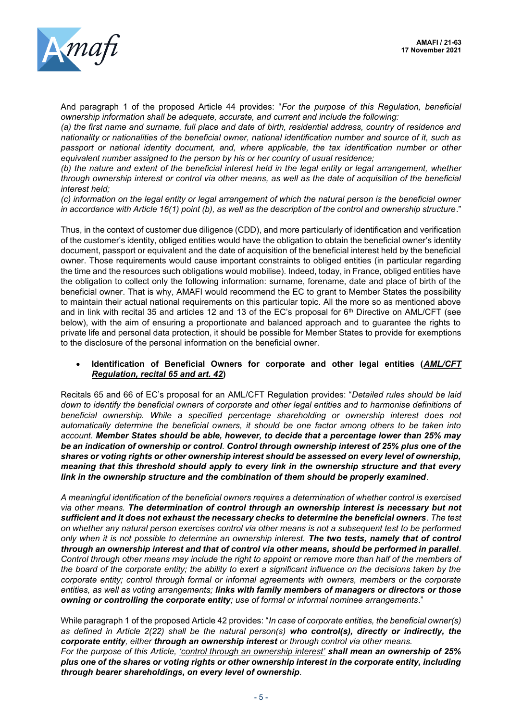

And paragraph 1 of the proposed Article 44 provides: "*For the purpose of this Regulation, beneficial ownership information shall be adequate, accurate, and current and include the following:* 

*(a) the first name and surname, full place and date of birth, residential address, country of residence and nationality or nationalities of the beneficial owner, national identification number and source of it, such as passport or national identity document, and, where applicable, the tax identification number or other equivalent number assigned to the person by his or her country of usual residence;*

*(b) the nature and extent of the beneficial interest held in the legal entity or legal arrangement, whether through ownership interest or control via other means, as well as the date of acquisition of the beneficial interest held;* 

*(c) information on the legal entity or legal arrangement of which the natural person is the beneficial owner in accordance with Article 16(1) point (b), as well as the description of the control and ownership structure*."

Thus, in the context of customer due diligence (CDD), and more particularly of identification and verification of the customer's identity, obliged entities would have the obligation to obtain the beneficial owner's identity document, passport or equivalent and the date of acquisition of the beneficial interest held by the beneficial owner. Those requirements would cause important constraints to obliged entities (in particular regarding the time and the resources such obligations would mobilise). Indeed, today, in France, obliged entities have the obligation to collect only the following information: surname, forename, date and place of birth of the beneficial owner. That is why, AMAFI would recommend the EC to grant to Member States the possibility to maintain their actual national requirements on this particular topic. All the more so as mentioned above and in link with recital 35 and articles 12 and 13 of the EC's proposal for  $6<sup>th</sup>$  Directive on AML/CFT (see below), with the aim of ensuring a proportionate and balanced approach and to guarantee the rights to private life and personal data protection, it should be possible for Member States to provide for exemptions to the disclosure of the personal information on the beneficial owner.

#### • **Identification of Beneficial Owners for corporate and other legal entities (***AML/CFT Regulation, recital 65 and art. 42***)**

Recitals 65 and 66 of EC's proposal for an AML/CFT Regulation provides: "*Detailed rules should be laid down to identify the beneficial owners of corporate and other legal entities and to harmonise definitions of beneficial ownership. While a specified percentage shareholding or ownership interest does not automatically determine the beneficial owners, it should be one factor among others to be taken into account. Member States should be able, however, to decide that a percentage lower than 25% may be an indication of ownership or control. Control through ownership interest of 25% plus one of the shares or voting rights or other ownership interest should be assessed on every level of ownership, meaning that this threshold should apply to every link in the ownership structure and that every link in the ownership structure and the combination of them should be properly examined*.

*A meaningful identification of the beneficial owners requires a determination of whether control is exercised via other means. The determination of control through an ownership interest is necessary but not sufficient and it does not exhaust the necessary checks to determine the beneficial owners. The test on whether any natural person exercises control via other means is not a subsequent test to be performed only when it is not possible to determine an ownership interest. The two tests, namely that of control through an ownership interest and that of control via other means, should be performed in parallel. Control through other means may include the right to appoint or remove more than half of the members of the board of the corporate entity; the ability to exert a significant influence on the decisions taken by the corporate entity; control through formal or informal agreements with owners, members or the corporate entities, as well as voting arrangements; links with family members of managers or directors or those owning or controlling the corporate entity; use of formal or informal nominee arrangements*."

While paragraph 1 of the proposed Article 42 provides: "*In case of corporate entities, the beneficial owner(s) as defined in Article 2(22) shall be the natural person(s) who control(s), directly or indirectly, the corporate entity, either through an ownership interest or through control via other means. For the purpose of this Article, 'control through an ownership interest' shall mean an ownership of 25% plus one of the shares or voting rights or other ownership interest in the corporate entity, including through bearer shareholdings, on every level of ownership.*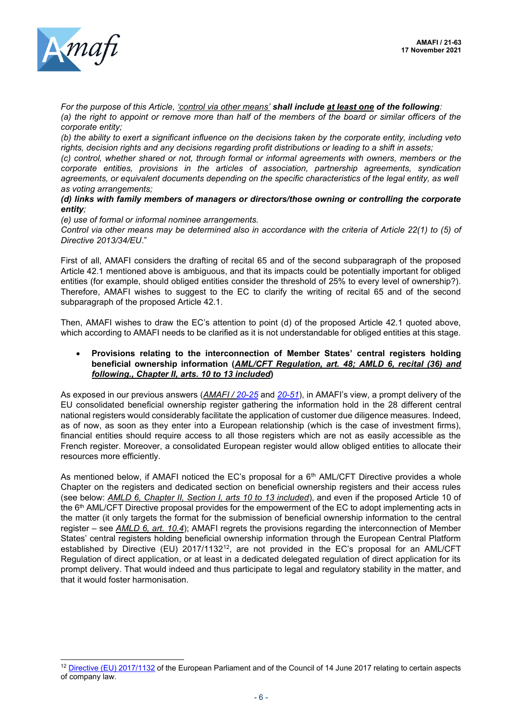

*For the purpose of this Article, 'control via other means' shall include at least one of the following: (a) the right to appoint or remove more than half of the members of the board or similar officers of the corporate entity;*

*(b) the ability to exert a significant influence on the decisions taken by the corporate entity, including veto rights, decision rights and any decisions regarding profit distributions or leading to a shift in assets;* 

*(c) control, whether shared or not, through formal or informal agreements with owners, members or the corporate entities, provisions in the articles of association, partnership agreements, syndication agreements, or equivalent documents depending on the specific characteristics of the legal entity, as well as voting arrangements;* 

#### *(d) links with family members of managers or directors/those owning or controlling the corporate entity;*

*(e) use of formal or informal nominee arrangements.* 

*Control via other means may be determined also in accordance with the criteria of Article 22(1) to (5) of Directive 2013/34/EU*."

First of all, AMAFI considers the drafting of recital 65 and of the second subparagraph of the proposed Article 42.1 mentioned above is ambiguous, and that its impacts could be potentially important for obliged entities (for example, should obliged entities consider the threshold of 25% to every level of ownership?). Therefore, AMAFI wishes to suggest to the EC to clarify the writing of recital 65 and of the second subparagraph of the proposed Article 42.1.

Then, AMAFI wishes to draw the EC's attention to point (d) of the proposed Article 42.1 quoted above, which according to AMAFI needs to be clarified as it is not understandable for obliged entities at this stage.

#### • **Provisions relating to the interconnection of Member States' central registers holding beneficial ownership information (***AML/CFT Regulation, art. 48; AMLD 6, recital (36) and following., Chapter II, arts. 10 to 13 included***)**

As exposed in our previous answers (*AMAFI / [20-25](http://amafi.fr/download/pages/DSE9t209flAM7pbDFNMdaqyrQsYGCsZgMNw8NL5v.pdf)* and *[20-51](http://amafi.fr/download/pages/AVzO6VC1JCpwfmA3YIorqzgORBfxUEV1ceyaeoBc.pdf)*), in AMAFI's view, a prompt delivery of the EU consolidated beneficial ownership register gathering the information hold in the 28 different central national registers would considerably facilitate the application of customer due diligence measures. Indeed, as of now, as soon as they enter into a European relationship (which is the case of investment firms), financial entities should require access to all those registers which are not as easily accessible as the French register. Moreover, a consolidated European register would allow obliged entities to allocate their resources more efficiently.

As mentioned below, if AMAFI noticed the EC's proposal for a  $6<sup>th</sup>$  AML/CFT Directive provides a whole Chapter on the registers and dedicated section on beneficial ownership registers and their access rules (see below: *AMLD 6, Chapter II, Section I, arts 10 to 13 included*), and even if the proposed Article 10 of the 6th AML/CFT Directive proposal provides for the empowerment of the EC to adopt implementing acts in the matter (it only targets the format for the submission of beneficial ownership information to the central register – see *AMLD 6, art. 10.4*); AMAFI regrets the provisions regarding the interconnection of Member States' central registers holding beneficial ownership information through the European Central Platform established by Directive (EU) 2017/1132<sup>12</sup>, are not provided in the EC's proposal for an AML/CFT Regulation of direct application, or at least in a dedicated delegated regulation of direct application for its prompt delivery. That would indeed and thus participate to legal and regulatory stability in the matter, and that it would foster harmonisation.

<sup>&</sup>lt;sup>12</sup> [Directive \(EU\) 2017/1132](https://eur-lex.europa.eu/legal-content/en/TXT/?uri=CELEX:32017L1132) of the European Parliament and of the Council of 14 June 2017 relating to certain aspects of company law.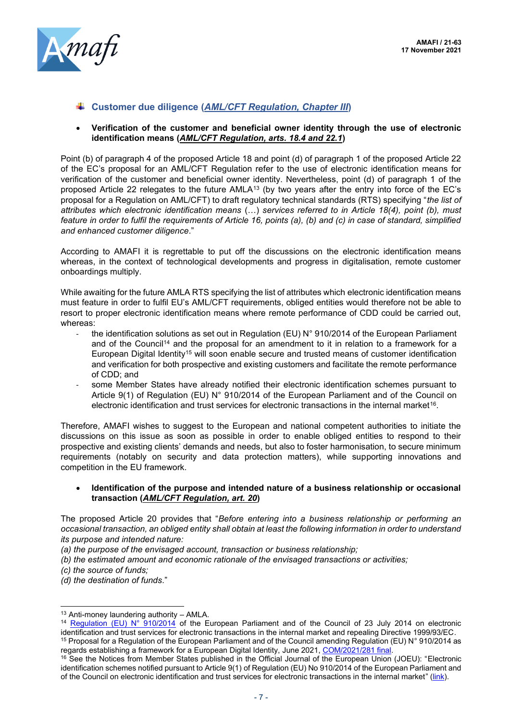

**Customer due diligence (***AML/CFT Regulation, Chapter III***)**

#### • **Verification of the customer and beneficial owner identity through the use of electronic identification means (***AML/CFT Regulation, arts. 18.4 and 22.1***)**

Point (b) of paragraph 4 of the proposed Article 18 and point (d) of paragraph 1 of the proposed Article 22 of the EC's proposal for an AML/CFT Regulation refer to the use of electronic identification means for verification of the customer and beneficial owner identity. Nevertheless, point (d) of paragraph 1 of the proposed Article 22 relegates to the future AMLA<sup>13</sup> (by two years after the entry into force of the EC's proposal for a Regulation on AML/CFT) to draft regulatory technical standards (RTS) specifying "*the list of attributes which electronic identification means* (…) *services referred to in Article 18(4), point (b), must feature in order to fulfil the requirements of Article 16, points (a), (b) and (c) in case of standard, simplified and enhanced customer diligence*."

According to AMAFI it is regrettable to put off the discussions on the electronic identification means whereas, in the context of technological developments and progress in digitalisation, remote customer onboardings multiply.

While awaiting for the future AMLA RTS specifying the list of attributes which electronic identification means must feature in order to fulfil EU's AML/CFT requirements, obliged entities would therefore not be able to resort to proper electronic identification means where remote performance of CDD could be carried out, whereas:

- the identification solutions as set out in Regulation (EU) N° 910/2014 of the European Parliament and of the Council<sup>14</sup> and the proposal for an amendment to it in relation to a framework for a European Digital Identity<sup>15</sup> will soon enable secure and trusted means of customer identification and verification for both prospective and existing customers and facilitate the remote performance of CDD; and
- some Member States have already notified their electronic identification schemes pursuant to Article 9(1) of Regulation (EU) N° 910/2014 of the European Parliament and of the Council on electronic identification and trust services for electronic transactions in the internal market<sup>16</sup>.

Therefore, AMAFI wishes to suggest to the European and national competent authorities to initiate the discussions on this issue as soon as possible in order to enable obliged entities to respond to their prospective and existing clients' demands and needs, but also to foster harmonisation, to secure minimum requirements (notably on security and data protection matters), while supporting innovations and competition in the EU framework.

#### • **Identification of the purpose and intended nature of a business relationship or occasional transaction (***AML/CFT Regulation, art. 20***)**

The proposed Article 20 provides that "*Before entering into a business relationship or performing an occasional transaction, an obliged entity shall obtain at least the following information in order to understand its purpose and intended nature:*

*(a) the purpose of the envisaged account, transaction or business relationship;*

- *(b) the estimated amount and economic rationale of the envisaged transactions or activities;*
- *(c) the source of funds;*

*(d) the destination of funds*."

 $13$  Anti-money laundering authority - AMLA.

<sup>&</sup>lt;sup>14</sup> [Regulation \(EU\) N° 910/2014](https://eur-lex.europa.eu/legal-content/EN/TXT/?uri=uriserv:OJ.L_.2014.257.01.0073.01.ENG#:~:text=Regulation%20%28EU%29%20No%20910%2F2014%20of%20the%20European%20Parliament,in%20the%20internal%20market%20and%20repealing%20Directive%201999%2F93%2FEC) of the European Parliament and of the Council of 23 July 2014 on electronic identification and trust services for electronic transactions in the internal market and repealing Directive 1999/93/EC. <sup>15</sup> Proposal for a Regulation of the European Parliament and of the Council amending Regulation (EU) N° 910/2014 as

regards establishing a framework for a European Digital Identity, June 2021, [COM/2021/281 final.](https://op.europa.eu/en/publication-detail/-/publication/5d88943a-c458-11eb-a925-01aa75ed71a1/language-en/format-PDF/source-search)

<sup>16</sup> See the Notices from Member States published in the Official Journal of the European Union (JOEU): "Electronic identification schemes notified pursuant to Article 9(1) of Regulation (EU) No 910/2014 of the European Parliament and of the Council on electronic identification and trust services for electronic transactions in the internal market" ([link\)](https://beta.op.europa.eu/en/publication-detail/-/publication/4a75a8b4-3de2-11eb-b27b-01aa75ed71a1/language-en/format-PDF/).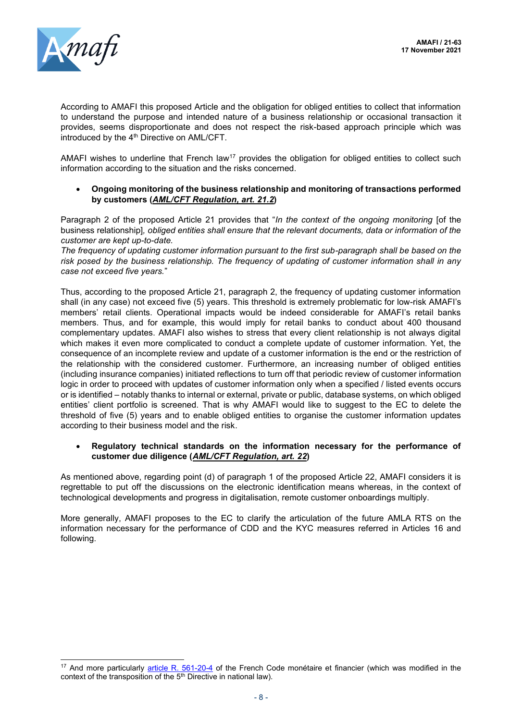

According to AMAFI this proposed Article and the obligation for obliged entities to collect that information to understand the purpose and intended nature of a business relationship or occasional transaction it provides, seems disproportionate and does not respect the risk-based approach principle which was introduced by the 4<sup>th</sup> Directive on AML/CFT.

AMAFI wishes to underline that French law<sup>17</sup> provides the obligation for obliged entities to collect such information according to the situation and the risks concerned.

• **Ongoing monitoring of the business relationship and monitoring of transactions performed by customers (***AML/CFT Regulation, art. 21.2***)**

Paragraph 2 of the proposed Article 21 provides that "*In the context of the ongoing monitoring* [of the business relationship]*, obliged entities shall ensure that the relevant documents, data or information of the customer are kept up-to-date.* 

*The frequency of updating customer information pursuant to the first sub-paragraph shall be based on the risk posed by the business relationship. The frequency of updating of customer information shall in any case not exceed five years.*"

Thus, according to the proposed Article 21, paragraph 2, the frequency of updating customer information shall (in any case) not exceed five (5) years. This threshold is extremely problematic for low-risk AMAFI's members' retail clients. Operational impacts would be indeed considerable for AMAFI's retail banks members. Thus, and for example, this would imply for retail banks to conduct about 400 thousand complementary updates. AMAFI also wishes to stress that every client relationship is not always digital which makes it even more complicated to conduct a complete update of customer information. Yet, the consequence of an incomplete review and update of a customer information is the end or the restriction of the relationship with the considered customer. Furthermore, an increasing number of obliged entities (including insurance companies) initiated reflections to turn off that periodic review of customer information logic in order to proceed with updates of customer information only when a specified / listed events occurs or is identified – notably thanks to internal or external, private or public, database systems, on which obliged entities' client portfolio is screened. That is why AMAFI would like to suggest to the EC to delete the threshold of five (5) years and to enable obliged entities to organise the customer information updates according to their business model and the risk.

#### • **Regulatory technical standards on the information necessary for the performance of customer due diligence (***AML/CFT Regulation, art. 22***)**

As mentioned above, regarding point (d) of paragraph 1 of the proposed Article 22, AMAFI considers it is regrettable to put off the discussions on the electronic identification means whereas, in the context of technological developments and progress in digitalisation, remote customer onboardings multiply.

More generally, AMAFI proposes to the EC to clarify the articulation of the future AMLA RTS on the information necessary for the performance of CDD and the KYC measures referred in Articles 16 and following.

<sup>&</sup>lt;sup>17</sup> And more particularly [article R. 561-20-4](https://www.legifrance.gouv.fr/codes/article_lc/LEGIARTI000041592321/2021-10-18/) of the French Code monétaire et financier (which was modified in the context of the transposition of the 5<sup>th</sup> Directive in national law).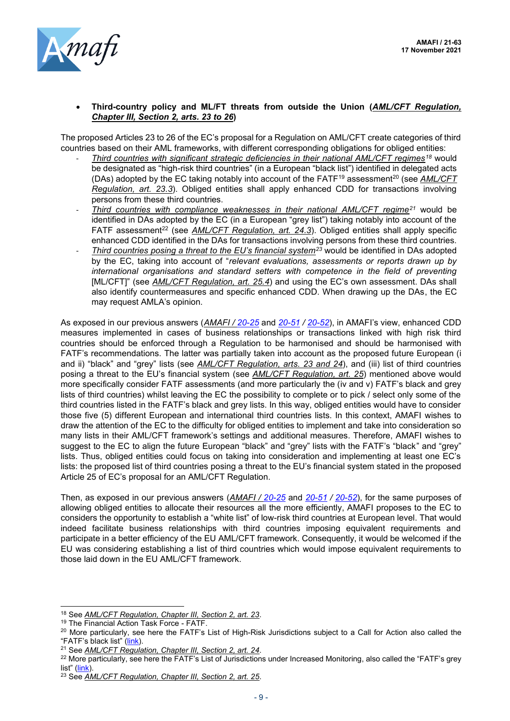

#### • **Third-country policy and ML/FT threats from outside the Union (***AML/CFT Regulation, Chapter III, Section 2, arts. 23 to 26***)**

The proposed Articles 23 to 26 of the EC's proposal for a Regulation on AML/CFT create categories of third countries based on their AML frameworks, with different corresponding obligations for obliged entities:

- *Third countries with significant strategic deficiencies in their national AML/CFT regimes<sup>18</sup>* would be designated as "high-risk third countries" (in a European "black list") identified in delegated acts (DAs) adopted by the EC taking notably into account of the FATF<sup>19</sup> assessment<sup>20</sup> (see AML/CFT *Regulation, art. 23.3*). Obliged entities shall apply enhanced CDD for transactions involving persons from these third countries.
- *Third countries with compliance weaknesses in their national AML/CFT regime<sup>21</sup>* would be identified in DAs adopted by the EC (in a European "grey list") taking notably into account of the FATF assessment<sup>22</sup> (see *AML/CFT Regulation, art. 24.3*). Obliged entities shall apply specific enhanced CDD identified in the DAs for transactions involving persons from these third countries.
- *Third countries posing a threat to the EU's financial system<sup>23</sup>* would be identified in DAs adopted by the EC, taking into account of "*relevant evaluations, assessments or reports drawn up by international organisations and standard setters with competence in the field of preventing* [ML/CFT]" (see *AML/CFT Regulation, art. 25.4*) and using the EC's own assessment. DAs shall also identify countermeasures and specific enhanced CDD. When drawing up the DAs, the EC may request AMLA's opinion.

As exposed in our previous answers (*AMAFI / [20-25](http://amafi.fr/download/pages/DSE9t209flAM7pbDFNMdaqyrQsYGCsZgMNw8NL5v.pdf)* and *[20-51](http://amafi.fr/download/pages/AVzO6VC1JCpwfmA3YIorqzgORBfxUEV1ceyaeoBc.pdf) / [20-52](http://amafi.fr/download/pages/qFCW3nmDpbmu5K5ro43clfSJeorMbtQJ6eVc7VYl.pdf)*), in AMAFI's view, enhanced CDD measures implemented in cases of business relationships or transactions linked with high risk third countries should be enforced through a Regulation to be harmonised and should be harmonised with FATF's recommendations. The latter was partially taken into account as the proposed future European (i and ii) "black" and "grey" lists (see *AML/CFT Regulation, arts. 23 and 24*), and (iii) list of third countries posing a threat to the EU's financial system (see *AML/CFT Regulation, art. 25*) mentioned above would more specifically consider FATF assessments (and more particularly the (iv and v) FATF's black and grey lists of third countries) whilst leaving the EC the possibility to complete or to pick / select only some of the third countries listed in the FATF's black and grey lists. In this way, obliged entities would have to consider those five (5) different European and international third countries lists. In this context, AMAFI wishes to draw the attention of the EC to the difficulty for obliged entities to implement and take into consideration so many lists in their AML/CFT framework's settings and additional measures. Therefore, AMAFI wishes to suggest to the EC to align the future European "black" and "grey" lists with the FATF's "black" and "grey" lists. Thus, obliged entities could focus on taking into consideration and implementing at least one EC's lists: the proposed list of third countries posing a threat to the EU's financial system stated in the proposed Article 25 of EC's proposal for an AML/CFT Regulation.

Then, as exposed in our previous answers (*AMAFI / [20-25](http://amafi.fr/download/pages/DSE9t209flAM7pbDFNMdaqyrQsYGCsZgMNw8NL5v.pdf)* and *[20-51](http://amafi.fr/download/pages/AVzO6VC1JCpwfmA3YIorqzgORBfxUEV1ceyaeoBc.pdf) / [20-52](http://amafi.fr/download/pages/qFCW3nmDpbmu5K5ro43clfSJeorMbtQJ6eVc7VYl.pdf)*), for the same purposes of allowing obliged entities to allocate their resources all the more efficiently, AMAFI proposes to the EC to considers the opportunity to establish a "white list" of low-risk third countries at European level. That would indeed facilitate business relationships with third countries imposing equivalent requirements and participate in a better efficiency of the EU AML/CFT framework. Consequently, it would be welcomed if the EU was considering establishing a list of third countries which would impose equivalent requirements to those laid down in the EU AML/CFT framework.

<sup>18</sup> See *AML/CFT Regulation, Chapter III, Section 2, art. 23*.

<sup>19</sup> The Financial Action Task Force - FATF.

<sup>&</sup>lt;sup>20</sup> More particularly, see here the FATF's List of High-Risk Jurisdictions subject to a Call for Action also called the "FATF's black list" ([link\)](https://www.fatf-gafi.org/publications/high-risk-and-other-monitored-jurisdictions/documents/call-for-action-june-2021.html).

<sup>21</sup> See *AML/CFT Regulation, Chapter III, Section 2, art. 24*.

<sup>&</sup>lt;sup>22</sup> More particularly, see here the FATF's List of Jurisdictions under Increased Monitoring, also called the "FATF's grey list" ([link\)](https://www.fatf-gafi.org/publications/high-risk-and-other-monitored-jurisdictions/documents/increased-monitoring-october-2021.html).

<sup>23</sup> See *AML/CFT Regulation, Chapter III, Section 2, art. 25*.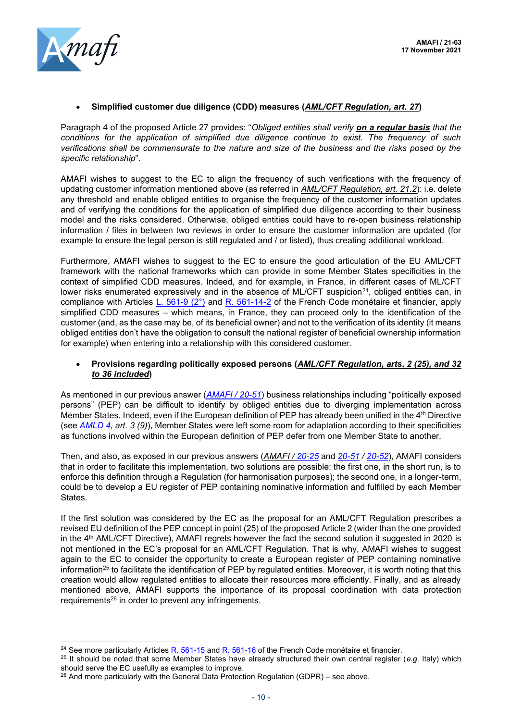#### • **Simplified customer due diligence (CDD) measures (***AML/CFT Regulation, art. 27***)**

Paragraph 4 of the proposed Article 27 provides: "*Obliged entities shall verify on a regular basis that the conditions for the application of simplified due diligence continue to exist. The frequency of such verifications shall be commensurate to the nature and size of the business and the risks posed by the specific relationship*".

AMAFI wishes to suggest to the EC to align the frequency of such verifications with the frequency of updating customer information mentioned above (as referred in *AML/CFT Regulation, art. 21.2*): i.e. delete any threshold and enable obliged entities to organise the frequency of the customer information updates and of verifying the conditions for the application of simplified due diligence according to their business model and the risks considered. Otherwise, obliged entities could have to re-open business relationship information / files in between two reviews in order to ensure the customer information are updated (for example to ensure the legal person is still regulated and / or listed), thus creating additional workload.

Furthermore, AMAFI wishes to suggest to the EC to ensure the good articulation of the EU AML/CFT framework with the national frameworks which can provide in some Member States specificities in the context of simplified CDD measures. Indeed, and for example, in France, in different cases of ML/CFT lower risks enumerated expressively and in the absence of ML/CFT suspicion<sup>24</sup>, obliged entities can, in compliance with Articles [L. 561-9 \(2°\)](https://www.legifrance.gouv.fr/codes/article_lc/LEGIARTI000020196645/2021-11-05/) and [R. 561-14-2](https://www.legifrance.gouv.fr/codes/article_lc/LEGIARTI000036822473/2021-11-05/) of the French Code monétaire et financier, apply simplified CDD measures – which means, in France, they can proceed only to the identification of the customer (and, as the case may be, of its beneficial owner) and not to the verification of its identity (it means obliged entities don't have the obligation to consult the national register of beneficial ownership information for example) when entering into a relationship with this considered customer.

#### • **Provisions regarding politically exposed persons (***AML/CFT Regulation, arts. 2 (25), and 32 to 36 included***)**

As mentioned in our previous answer (*[AMAFI / 20-51](http://amafi.fr/download/pages/AVzO6VC1JCpwfmA3YIorqzgORBfxUEV1ceyaeoBc.pdf)*) business relationships including "politically exposed persons" (PEP) can be difficult to identify by obliged entities due to diverging implementation across Member States. Indeed, even if the European definition of PEP has already been unified in the 4th Directive (see *[AMLD 4,](https://eur-lex.europa.eu/eli/dir/2015/849/oj) art. 3 (9)*), Member States were left some room for adaptation according to their specificities as functions involved within the European definition of PEP defer from one Member State to another.

Then, and also, as exposed in our previous answers (*AMAFI / [20-25](http://amafi.fr/download/pages/DSE9t209flAM7pbDFNMdaqyrQsYGCsZgMNw8NL5v.pdf)* and *[20-51](http://amafi.fr/download/pages/AVzO6VC1JCpwfmA3YIorqzgORBfxUEV1ceyaeoBc.pdf) / [20-52](http://amafi.fr/download/pages/qFCW3nmDpbmu5K5ro43clfSJeorMbtQJ6eVc7VYl.pdf)*), AMAFI considers that in order to facilitate this implementation, two solutions are possible: the first one, in the short run, is to enforce this definition through a Regulation (for harmonisation purposes); the second one, in a longer-term, could be to develop a EU register of PEP containing nominative information and fulfilled by each Member States.

If the first solution was considered by the EC as the proposal for an AML/CFT Regulation prescribes a revised EU definition of the PEP concept in point (25) of the proposed Article 2 (wider than the one provided in the 4th AML/CFT Directive), AMAFI regrets however the fact the second solution it suggested in 2020 is not mentioned in the EC's proposal for an AML/CFT Regulation. That is why, AMAFI wishes to suggest again to the EC to consider the opportunity to create a European register of PEP containing nominative information<sup>25</sup> to facilitate the identification of PEP by regulated entities. Moreover, it is worth noting that this creation would allow regulated entities to allocate their resources more efficiently. Finally, and as already mentioned above, AMAFI supports the importance of its proposal coordination with data protection requirements<sup>26</sup> in order to prevent any infringements.

<sup>&</sup>lt;sup>24</sup> See more particularly Article[s R. 561-15](https://www.legifrance.gouv.fr/codes/article_lc/LEGIARTI000041592300/) and [R. 561-16](https://www.legifrance.gouv.fr/codes/article_lc/LEGIARTI000036824679/2021-11-05/) of the French Code monétaire et financier.

<sup>25</sup> It should be noted that some Member States have already structured their own central register (*e.g.* Italy) which should serve the EC usefully as examples to improve.

 $26$  And more particularly with the General Data Protection Regulation (GDPR) – see above.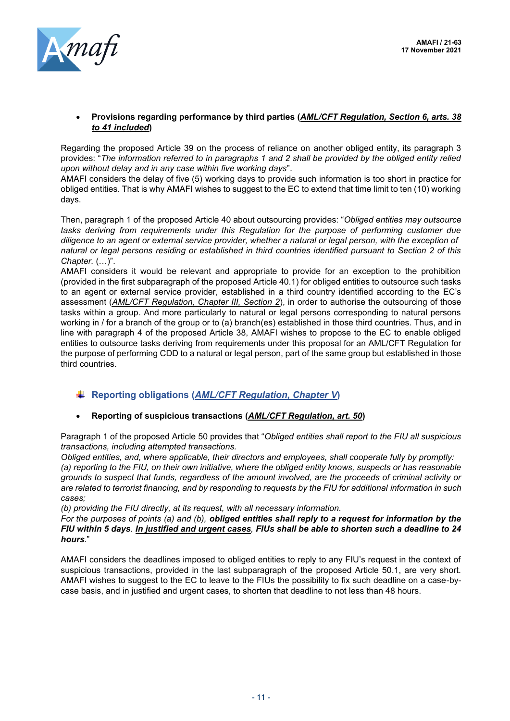

#### • **Provisions regarding performance by third parties (***AML/CFT Regulation, Section 6, arts. 38 to 41 included***)**

Regarding the proposed Article 39 on the process of reliance on another obliged entity, its paragraph 3 provides: "*The information referred to in paragraphs 1 and 2 shall be provided by the obliged entity relied upon without delay and in any case within five working days*".

AMAFI considers the delay of five (5) working days to provide such information is too short in practice for obliged entities. That is why AMAFI wishes to suggest to the EC to extend that time limit to ten (10) working days.

Then, paragraph 1 of the proposed Article 40 about outsourcing provides: "*Obliged entities may outsource tasks deriving from requirements under this Regulation for the purpose of performing customer due diligence to an agent or external service provider, whether a natural or legal person, with the exception of natural or legal persons residing or established in third countries identified pursuant to Section 2 of this Chapter.* (…)".

AMAFI considers it would be relevant and appropriate to provide for an exception to the prohibition (provided in the first subparagraph of the proposed Article 40.1) for obliged entities to outsource such tasks to an agent or external service provider, established in a third country identified according to the EC's assessment (*AML/CFT Regulation, Chapter III, Section 2*), in order to authorise the outsourcing of those tasks within a group. And more particularly to natural or legal persons corresponding to natural persons working in / for a branch of the group or to (a) branch(es) established in those third countries. Thus, and in line with paragraph 4 of the proposed Article 38, AMAFI wishes to propose to the EC to enable obliged entities to outsource tasks deriving from requirements under this proposal for an AML/CFT Regulation for the purpose of performing CDD to a natural or legal person, part of the same group but established in those third countries.

# **Reporting obligations (***AML/CFT Regulation, Chapter V***)**

### • **Reporting of suspicious transactions (***AML/CFT Regulation, art. 50***)**

Paragraph 1 of the proposed Article 50 provides that "*Obliged entities shall report to the FIU all suspicious transactions, including attempted transactions.*

*Obliged entities, and, where applicable, their directors and employees, shall cooperate fully by promptly: (a) reporting to the FIU, on their own initiative, where the obliged entity knows, suspects or has reasonable grounds to suspect that funds, regardless of the amount involved, are the proceeds of criminal activity or are related to terrorist financing, and by responding to requests by the FIU for additional information in such cases;* 

*(b) providing the FIU directly, at its request, with all necessary information.* 

*For the purposes of points (a) and (b), obliged entities shall reply to a request for information by the FIU within 5 days. In justified and urgent cases, FIUs shall be able to shorten such a deadline to 24 hours.*"

AMAFI considers the deadlines imposed to obliged entities to reply to any FIU's request in the context of suspicious transactions, provided in the last subparagraph of the proposed Article 50.1, are very short. AMAFI wishes to suggest to the EC to leave to the FIUs the possibility to fix such deadline on a case-bycase basis, and in justified and urgent cases, to shorten that deadline to not less than 48 hours.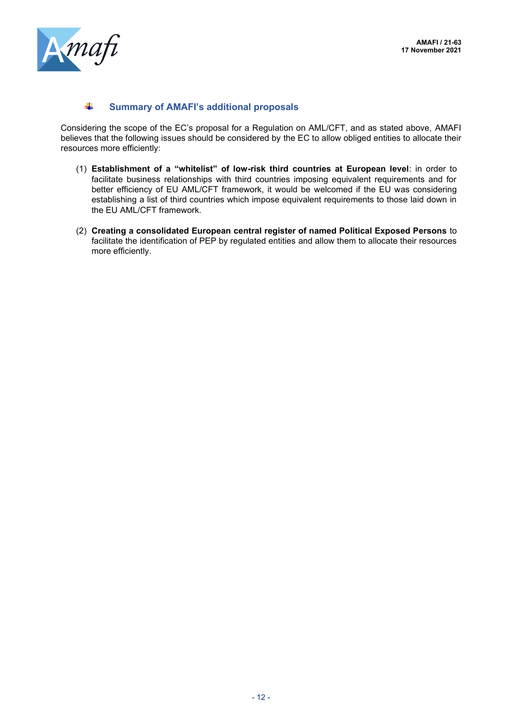

#### 4. **Summary of AMAFI's additional proposals**

Considering the scope of the EC's proposal for a Regulation on AML/CFT, and as stated above, AMAFI believes that the following issues should be considered by the EC to allow obliged entities to allocate their resources more efficiently:

- (1) **Establishment of a "whitelist" of low-risk third countries at European level**: in order to facilitate business relationships with third countries imposing equivalent requirements and for better efficiency of EU AML/CFT framework, it would be welcomed if the EU was considering establishing a list of third countries which impose equivalent requirements to those laid down in the EU AML/CFT framework.
- (2) **Creating a consolidated European central register of named Political Exposed Persons** to facilitate the identification of PEP by regulated entities and allow them to allocate their resources more efficiently.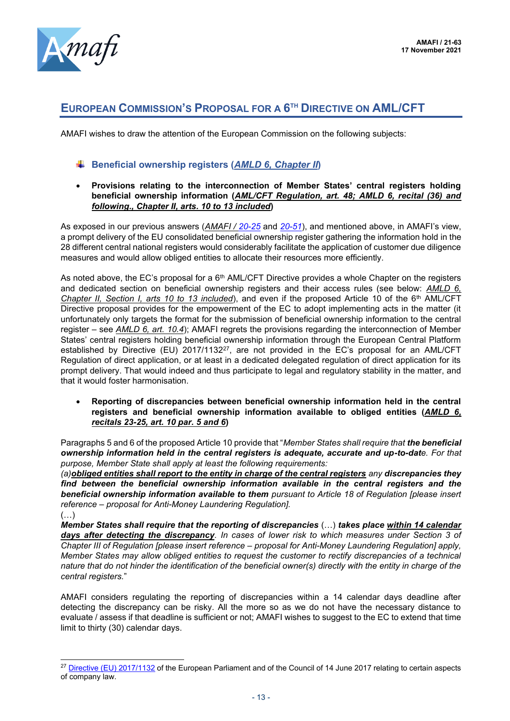

# **EUROPEAN COMMISSION'S PROPOSAL FOR A 6 TH DIRECTIVE ON AML/CFT**

AMAFI wishes to draw the attention of the European Commission on the following subjects:

# **Beneficial ownership registers (***AMLD 6, Chapter II***)**

• **Provisions relating to the interconnection of Member States' central registers holding beneficial ownership information (***AML/CFT Regulation, art. 48; AMLD 6, recital (36) and following., Chapter II, arts. 10 to 13 included***)**

As exposed in our previous answers (*AMAFI / [20-25](http://amafi.fr/download/pages/DSE9t209flAM7pbDFNMdaqyrQsYGCsZgMNw8NL5v.pdf)* and *[20-51](http://amafi.fr/download/pages/AVzO6VC1JCpwfmA3YIorqzgORBfxUEV1ceyaeoBc.pdf)*), and mentioned above, in AMAFI's view, a prompt delivery of the EU consolidated beneficial ownership register gathering the information hold in the 28 different central national registers would considerably facilitate the application of customer due diligence measures and would allow obliged entities to allocate their resources more efficiently.

As noted above, the EC's proposal for a 6<sup>th</sup> AML/CFT Directive provides a whole Chapter on the registers and dedicated section on beneficial ownership registers and their access rules (see below: *AMLD 6, Chapter II, Section I, arts 10 to 13 included*), and even if the proposed Article 10 of the 6<sup>th</sup> AML/CFT Directive proposal provides for the empowerment of the EC to adopt implementing acts in the matter (it unfortunately only targets the format for the submission of beneficial ownership information to the central register – see *AMLD 6, art. 10.4*); AMAFI regrets the provisions regarding the interconnection of Member States' central registers holding beneficial ownership information through the European Central Platform established by Directive (EU) 2017/1132<sup>27</sup>, are not provided in the EC's proposal for an AML/CFT Regulation of direct application, or at least in a dedicated delegated regulation of direct application for its prompt delivery. That would indeed and thus participate to legal and regulatory stability in the matter, and that it would foster harmonisation.

• **Reporting of discrepancies between beneficial ownership information held in the central registers and beneficial ownership information available to obliged entities (***AMLD 6, recitals 23-25, art. 10 par. 5 and 6***)**

Paragraphs 5 and 6 of the proposed Article 10 provide that "*Member States shall require that the beneficial ownership information held in the central registers is adequate, accurate and up-to-date. For that purpose, Member State shall apply at least the following requirements:*

*(a)obliged entities shall report to the entity in charge of the central registers any discrepancies they find between the beneficial ownership information available in the central registers and the beneficial ownership information available to them pursuant to Article 18 of Regulation [please insert reference – proposal for Anti-Money Laundering Regulation].* (…)

*Member States shall require that the reporting of discrepancies* (…) *takes place within 14 calendar days after detecting the discrepancy. In cases of lower risk to which measures under Section 3 of Chapter III of Regulation [please insert reference – proposal for Anti-Money Laundering Regulation] apply, Member States may allow obliged entities to request the customer to rectify discrepancies of a technical nature that do not hinder the identification of the beneficial owner(s) directly with the entity in charge of the central registers.*"

AMAFI considers regulating the reporting of discrepancies within a 14 calendar days deadline after detecting the discrepancy can be risky. All the more so as we do not have the necessary distance to evaluate / assess if that deadline is sufficient or not; AMAFI wishes to suggest to the EC to extend that time limit to thirty (30) calendar days.

<sup>&</sup>lt;sup>27</sup> [Directive \(EU\)](https://eur-lex.europa.eu/legal-content/en/TXT/?uri=CELEX:32017L1132) 2017/1132 of the European Parliament and of the Council of 14 June 2017 relating to certain aspects of company law.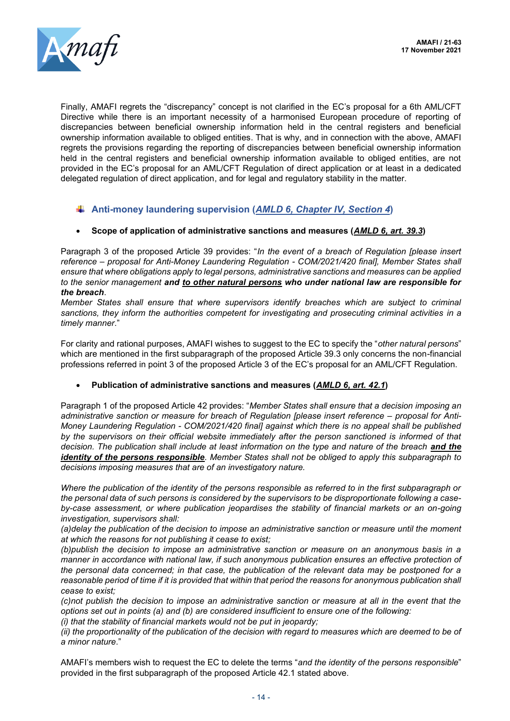

Finally, AMAFI regrets the "discrepancy" concept is not clarified in the EC's proposal for a 6th AML/CFT Directive while there is an important necessity of a harmonised European procedure of reporting of discrepancies between beneficial ownership information held in the central registers and beneficial ownership information available to obliged entities. That is why, and in connection with the above, AMAFI regrets the provisions regarding the reporting of discrepancies between beneficial ownership information held in the central registers and beneficial ownership information available to obliged entities, are not provided in the EC's proposal for an AML/CFT Regulation of direct application or at least in a dedicated delegated regulation of direct application, and for legal and regulatory stability in the matter.

# **Anti-money laundering supervision (***AMLD 6, Chapter IV, Section 4***)**

### • **Scope of application of administrative sanctions and measures (***AMLD 6, art. 39.3***)**

Paragraph 3 of the proposed Article 39 provides: "*In the event of a breach of Regulation [please insert reference – proposal for Anti-Money Laundering Regulation - COM/2021/420 final], Member States shall ensure that where obligations apply to legal persons, administrative sanctions and measures can be applied to the senior management and to other natural persons who under national law are responsible for the breach*.

*Member States shall ensure that where supervisors identify breaches which are subject to criminal sanctions, they inform the authorities competent for investigating and prosecuting criminal activities in a timely manner*."

For clarity and rational purposes, AMAFI wishes to suggest to the EC to specify the "*other natural persons*" which are mentioned in the first subparagraph of the proposed Article 39.3 only concerns the non-financial professions referred in point 3 of the proposed Article 3 of the EC's proposal for an AML/CFT Regulation.

• **Publication of administrative sanctions and measures (***AMLD 6, art. 42.1***)**

Paragraph 1 of the proposed Article 42 provides: "*Member States shall ensure that a decision imposing an*  administrative sanction or measure for breach of Regulation [please insert reference – proposal for Anti-*Money Laundering Regulation - COM/2021/420 final] against which there is no appeal shall be published by the supervisors on their official website immediately after the person sanctioned is informed of that decision. The publication shall include at least information on the type and nature of the breach and the identity of the persons responsible. Member States shall not be obliged to apply this subparagraph to decisions imposing measures that are of an investigatory nature.*

*Where the publication of the identity of the persons responsible as referred to in the first subparagraph or the personal data of such persons is considered by the supervisors to be disproportionate following a caseby-case assessment, or where publication jeopardises the stability of financial markets or an on-going investigation, supervisors shall:*

*(a)delay the publication of the decision to impose an administrative sanction or measure until the moment at which the reasons for not publishing it cease to exist;*

*(b)publish the decision to impose an administrative sanction or measure on an anonymous basis in a manner in accordance with national law, if such anonymous publication ensures an effective protection of the personal data concerned; in that case, the publication of the relevant data may be postponed for a*  reasonable period of time if it is provided that within that period the reasons for anonymous publication shall *cease to exist;*

*(c)not publish the decision to impose an administrative sanction or measure at all in the event that the options set out in points (a) and (b) are considered insufficient to ensure one of the following:*

*(i) that the stability of financial markets would not be put in jeopardy;*

*(ii) the proportionality of the publication of the decision with regard to measures which are deemed to be of a minor nature*."

AMAFI's members wish to request the EC to delete the terms "*and the identity of the persons responsible*" provided in the first subparagraph of the proposed Article 42.1 stated above.